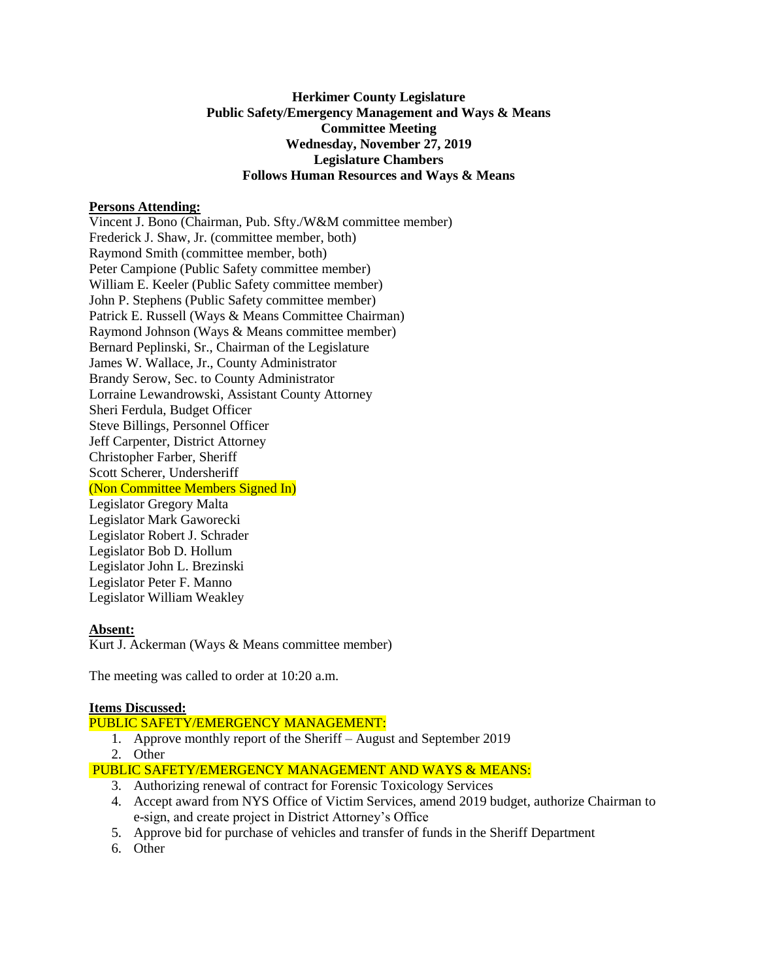# **Herkimer County Legislature Public Safety/Emergency Management and Ways & Means Committee Meeting Wednesday, November 27, 2019 Legislature Chambers Follows Human Resources and Ways & Means**

# **Persons Attending:**

Vincent J. Bono (Chairman, Pub. Sfty./W&M committee member) Frederick J. Shaw, Jr. (committee member, both) Raymond Smith (committee member, both) Peter Campione (Public Safety committee member) William E. Keeler (Public Safety committee member) John P. Stephens (Public Safety committee member) Patrick E. Russell (Ways & Means Committee Chairman) Raymond Johnson (Ways & Means committee member) Bernard Peplinski, Sr., Chairman of the Legislature James W. Wallace, Jr., County Administrator Brandy Serow, Sec. to County Administrator Lorraine Lewandrowski, Assistant County Attorney Sheri Ferdula, Budget Officer Steve Billings, Personnel Officer Jeff Carpenter, District Attorney Christopher Farber, Sheriff Scott Scherer, Undersheriff (Non Committee Members Signed In) Legislator Gregory Malta Legislator Mark Gaworecki Legislator Robert J. Schrader Legislator Bob D. Hollum Legislator John L. Brezinski Legislator Peter F. Manno Legislator William Weakley

### **Absent:**

Kurt J. Ackerman (Ways & Means committee member)

The meeting was called to order at 10:20 a.m.

### **Items Discussed:**

### PUBLIC SAFETY/EMERGENCY MANAGEMENT:

- 1. Approve monthly report of the Sheriff August and September 2019
- 2. Other

# PUBLIC SAFETY/EMERGENCY MANAGEMENT AND WAYS & MEANS:

- 3. Authorizing renewal of contract for Forensic Toxicology Services
- 4. Accept award from NYS Office of Victim Services, amend 2019 budget, authorize Chairman to e-sign, and create project in District Attorney's Office
- 5. Approve bid for purchase of vehicles and transfer of funds in the Sheriff Department
- 6. Other